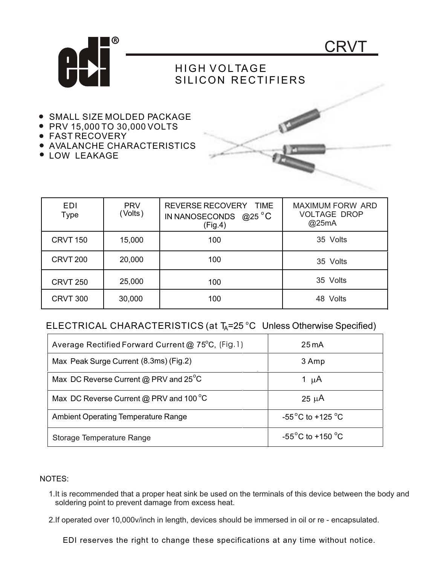

## HIGH VOLTAGE SILICON RECTIFIERS

- **SMALL SIZE MOLDED PACKAGE**
- PRV 15,000 TO 30,000 VOLTS

 $\mathbf I$ 

- FAST RECOVERY
- AVALANCHE CHARACTERISTICS
- **LOW LEAKAGE**

EDI



CRVT

| ᄃᄓ<br>Type      | <b>FRV</b><br>(Volts) | REVERSE REUUVER I<br><b>IIME</b><br>IN NANOSECONDS $@25$ °C<br>(Fig.4) | MAAIMUM FURW ARD<br><b>VOLTAGE DROP</b><br>@25mA |
|-----------------|-----------------------|------------------------------------------------------------------------|--------------------------------------------------|
| <b>CRVT 150</b> | 15,000                | 100                                                                    | 35 Volts                                         |
| <b>CRVT 200</b> | 20,000                | 100                                                                    | 35 Volts                                         |
| <b>CRVT 250</b> | 25,000                | 100                                                                    | 35 Volts                                         |
| <b>CRVT 300</b> | 30,000                | 100                                                                    | 48 Volts                                         |

## ELECTRICAL CHARACTERISTICS (at T<sub>A</sub>=25 °C Unless Otherwise Specified)

| Average Rectified Forward Current @ 75°C, (Fig.1) | $25 \text{ mA}$                       |
|---------------------------------------------------|---------------------------------------|
| Max Peak Surge Current (8.3ms) (Fig.2)            | 3 Amp                                 |
| Max DC Reverse Current @ PRV and 25°C             | 1 $\mu$ A                             |
| Max DC Reverse Current @ PRV and 100 °C           | $25 \mu A$                            |
| <b>Ambient Operating Temperature Range</b>        | -55 $^{\circ}$ C to +125 $^{\circ}$ C |
| Storage Temperature Range                         | -55 $^{\circ}$ C to +150 $^{\circ}$ C |

## NOTES:

- 1.It is recommended that a proper heat sink be used on the terminals of this device between the body and soldering point to prevent damage from excess heat.
- 2.If operated over 10,000v/inch in length, devices should be immersed in oil or re encapsulated.

EDI reserves the right to change these specifications at any time without notice.